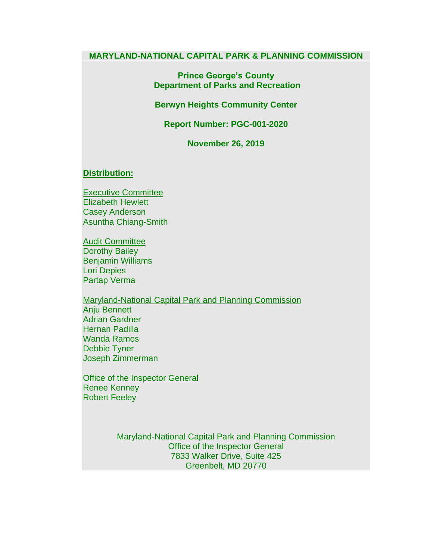### **MARYLAND-NATIONAL CAPITAL PARK & PLANNING COMMISSION**

**Prince George's County Department of Parks and Recreation** 

**Berwyn Heights Community Center**

**Report Number: PGC-001-2020**

**November 26, 2019**

### **Distribution:**

Executive Committee Elizabeth Hewlett Casey Anderson Asuntha Chiang-Smith

Audit Committee Dorothy Bailey Benjamin Williams Lori Depies Partap Verma

Maryland-National Capital Park and Planning Commission Anju Bennett Adrian Gardner Hernan Padilla Wanda Ramos Debbie Tyner Joseph Zimmerman

Office of the Inspector General Renee Kenney Robert Feeley

> Maryland-National Capital Park and Planning Commission Office of the Inspector General 7833 Walker Drive, Suite 425 Greenbelt, MD 20770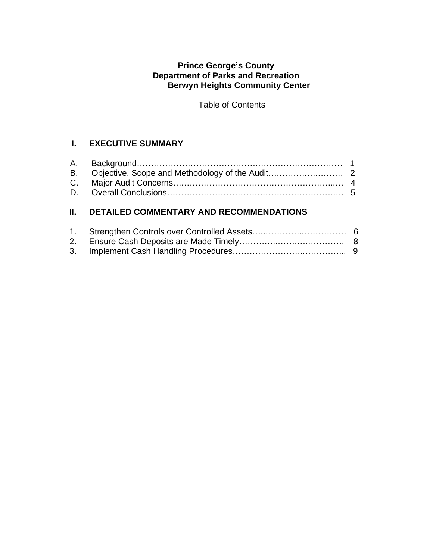# **Prince George's County Department of Parks and Recreation Berwyn Heights Community Center**

Table of Contents

# **I. EXECUTIVE SUMMARY**

# **II. DETAILED COMMENTARY AND RECOMMENDATIONS**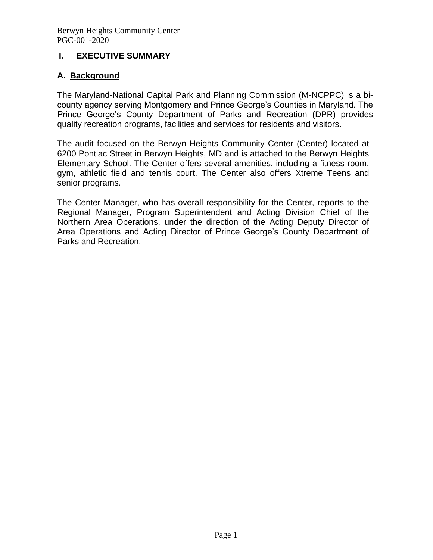# **I. EXECUTIVE SUMMARY**

# **A. Background**

The Maryland-National Capital Park and Planning Commission (M-NCPPC) is a bicounty agency serving Montgomery and Prince George's Counties in Maryland. The Prince George's County Department of Parks and Recreation (DPR) provides quality recreation programs, facilities and services for residents and visitors.

The audit focused on the Berwyn Heights Community Center (Center) located at 6200 Pontiac Street in Berwyn Heights, MD and is attached to the Berwyn Heights Elementary School. The Center offers several amenities, including a fitness room, gym, athletic field and tennis court. The Center also offers Xtreme Teens and senior programs.

The Center Manager, who has overall responsibility for the Center, reports to the Regional Manager, Program Superintendent and Acting Division Chief of the Northern Area Operations, under the direction of the Acting Deputy Director of Area Operations and Acting Director of Prince George's County Department of Parks and Recreation.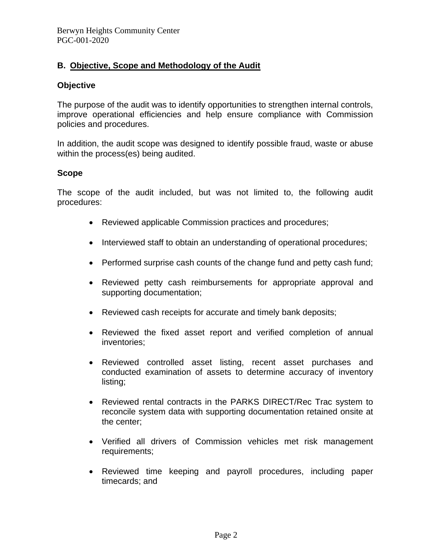# **B. Objective, Scope and Methodology of the Audit**

### **Objective**

The purpose of the audit was to identify opportunities to strengthen internal controls, improve operational efficiencies and help ensure compliance with Commission policies and procedures.

In addition, the audit scope was designed to identify possible fraud, waste or abuse within the process(es) being audited.

### **Scope**

The scope of the audit included, but was not limited to, the following audit procedures:

- Reviewed applicable Commission practices and procedures;
- Interviewed staff to obtain an understanding of operational procedures;
- Performed surprise cash counts of the change fund and petty cash fund;
- Reviewed petty cash reimbursements for appropriate approval and supporting documentation;
- Reviewed cash receipts for accurate and timely bank deposits;
- Reviewed the fixed asset report and verified completion of annual inventories;
- Reviewed controlled asset listing, recent asset purchases and conducted examination of assets to determine accuracy of inventory listing;
- Reviewed rental contracts in the PARKS DIRECT/Rec Trac system to reconcile system data with supporting documentation retained onsite at the center;
- Verified all drivers of Commission vehicles met risk management requirements;
- Reviewed time keeping and payroll procedures, including paper timecards; and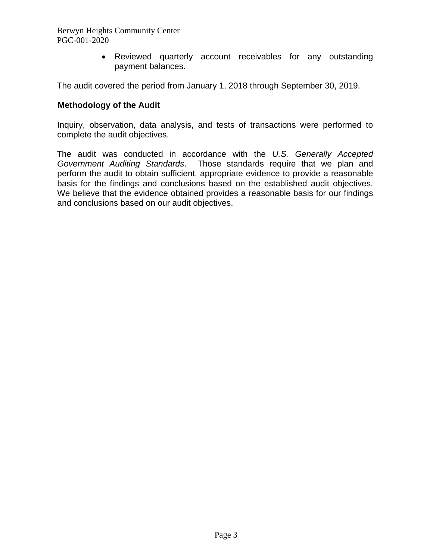Berwyn Heights Community Center PGC-001-2020

> • Reviewed quarterly account receivables for any outstanding payment balances.

The audit covered the period from January 1, 2018 through September 30, 2019.

### **Methodology of the Audit**

Inquiry, observation, data analysis, and tests of transactions were performed to complete the audit objectives.

The audit was conducted in accordance with the *U.S. Generally Accepted Government Auditing Standards*. Those standards require that we plan and perform the audit to obtain sufficient, appropriate evidence to provide a reasonable basis for the findings and conclusions based on the established audit objectives. We believe that the evidence obtained provides a reasonable basis for our findings and conclusions based on our audit objectives.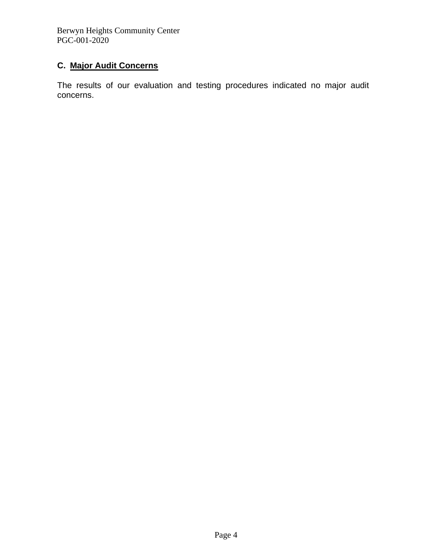Berwyn Heights Community Center PGC-001-2020

# **C. Major Audit Concerns**

The results of our evaluation and testing procedures indicated no major audit concerns.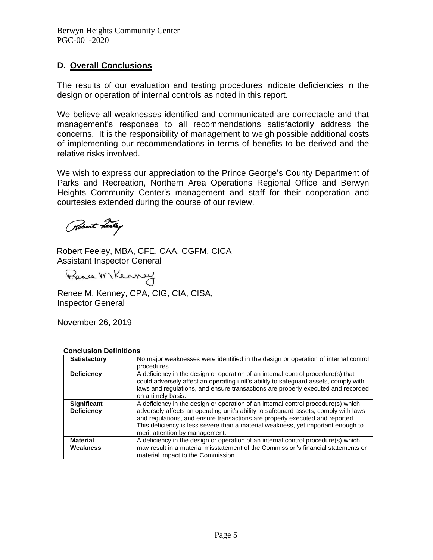# **D. Overall Conclusions**

The results of our evaluation and testing procedures indicate deficiencies in the design or operation of internal controls as noted in this report.

We believe all weaknesses identified and communicated are correctable and that management's responses to all recommendations satisfactorily address the concerns. It is the responsibility of management to weigh possible additional costs of implementing our recommendations in terms of benefits to be derived and the relative risks involved.

We wish to express our appreciation to the Prince George's County Department of Parks and Recreation, Northern Area Operations Regional Office and Berwyn Heights Community Center's management and staff for their cooperation and courtesies extended during the course of our review.

Robert Leeley

Robert Feeley, MBA, CFE, CAA, CGFM, CICA Assistant Inspector General

Bence MKenney

Renee M. Kenney, CPA, CIG, CIA, CISA, Inspector General

November 26, 2019

| GUILIUSIUII DEIIIIIIUIIS                |                                                                                                                                                                                                                                                                                                                                                                                |  |  |  |  |
|-----------------------------------------|--------------------------------------------------------------------------------------------------------------------------------------------------------------------------------------------------------------------------------------------------------------------------------------------------------------------------------------------------------------------------------|--|--|--|--|
| Satisfactory                            | No major weaknesses were identified in the design or operation of internal control<br>procedures.                                                                                                                                                                                                                                                                              |  |  |  |  |
| <b>Deficiency</b>                       | A deficiency in the design or operation of an internal control procedure(s) that<br>could adversely affect an operating unit's ability to safeguard assets, comply with<br>laws and regulations, and ensure transactions are properly executed and recorded<br>on a timely basis.                                                                                              |  |  |  |  |
| <b>Significant</b><br><b>Deficiency</b> | A deficiency in the design or operation of an internal control procedure(s) which<br>adversely affects an operating unit's ability to safeguard assets, comply with laws<br>and regulations, and ensure transactions are properly executed and reported.<br>This deficiency is less severe than a material weakness, yet important enough to<br>merit attention by management. |  |  |  |  |
| <b>Material</b><br>Weakness             | A deficiency in the design or operation of an internal control procedure(s) which<br>may result in a material misstatement of the Commission's financial statements or<br>material impact to the Commission.                                                                                                                                                                   |  |  |  |  |

**Conclusion Definitions**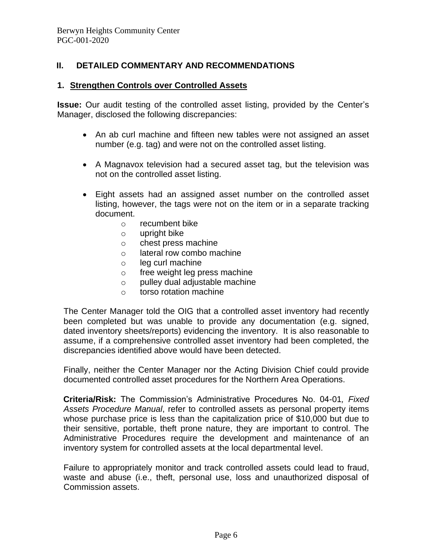## **II. DETAILED COMMENTARY AND RECOMMENDATIONS**

### **1. Strengthen Controls over Controlled Assets**

**Issue:** Our audit testing of the controlled asset listing, provided by the Center's Manager, disclosed the following discrepancies:

- An ab curl machine and fifteen new tables were not assigned an asset number (e.g. tag) and were not on the controlled asset listing.
- A Magnavox television had a secured asset tag, but the television was not on the controlled asset listing.
- Eight assets had an assigned asset number on the controlled asset listing, however, the tags were not on the item or in a separate tracking document.
	- o recumbent bike
	- o upright bike
	- o chest press machine
	- o lateral row combo machine
	- o leg curl machine
	- o free weight leg press machine
	- o pulley dual adjustable machine
	- o torso rotation machine

The Center Manager told the OIG that a controlled asset inventory had recently been completed but was unable to provide any documentation (e.g. signed, dated inventory sheets/reports) evidencing the inventory. It is also reasonable to assume, if a comprehensive controlled asset inventory had been completed, the discrepancies identified above would have been detected.

Finally, neither the Center Manager nor the Acting Division Chief could provide documented controlled asset procedures for the Northern Area Operations.

**Criteria/Risk:** The Commission's Administrative Procedures No. 04-01*, Fixed Assets Procedure Manual*, refer to controlled assets as personal property items whose purchase price is less than the capitalization price of \$10,000 but due to their sensitive, portable, theft prone nature, they are important to control. The Administrative Procedures require the development and maintenance of an inventory system for controlled assets at the local departmental level.

Failure to appropriately monitor and track controlled assets could lead to fraud, waste and abuse (i.e., theft, personal use, loss and unauthorized disposal of Commission assets.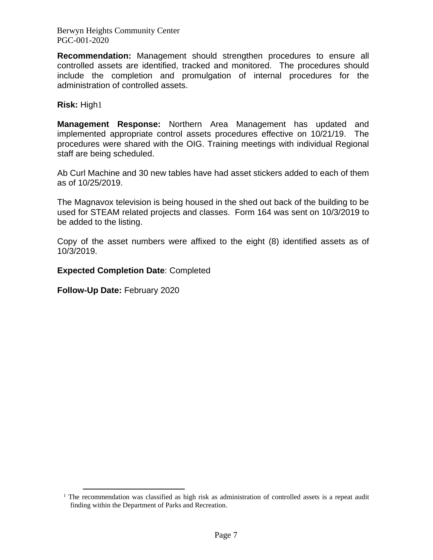Berwyn Heights Community Center PGC-001-2020

**Recommendation:** Management should strengthen procedures to ensure all controlled assets are identified, tracked and monitored. The procedures should include the completion and promulgation of internal procedures for the administration of controlled assets.

**Risk:** High1

**Management Response:** Northern Area Management has updated and implemented appropriate control assets procedures effective on 10/21/19. The procedures were shared with the OIG. Training meetings with individual Regional staff are being scheduled.

Ab Curl Machine and 30 new tables have had asset stickers added to each of them as of 10/25/2019.

The Magnavox television is being housed in the shed out back of the building to be used for STEAM related projects and classes. Form 164 was sent on 10/3/2019 to be added to the listing.

Copy of the asset numbers were affixed to the eight (8) identified assets as of 10/3/2019.

**Expected Completion Date**: Completed

**Follow-Up Date:** February 2020

 $1$  The recommendation was classified as high risk as administration of controlled assets is a repeat audit finding within the Department of Parks and Recreation.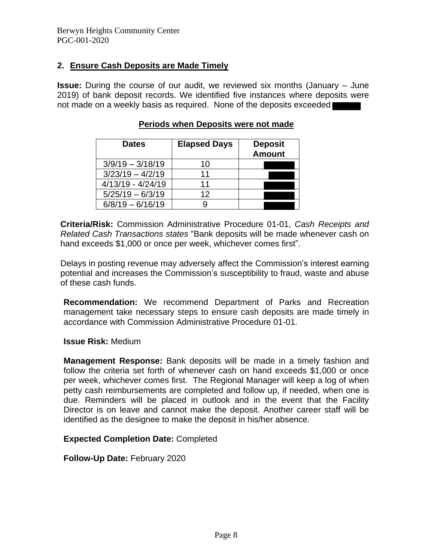## **2. Ensure Cash Deposits are Made Timely**

**Issue:** During the course of our audit, we reviewed six months (January – June 2019) of bank deposit records. We identified five instances where deposits were not made on a weekly basis as required. None of the deposits exceeded

| <b>Dates</b>        | <b>Elapsed Days</b> | <b>Deposit</b><br><b>Amount</b> |
|---------------------|---------------------|---------------------------------|
| $3/9/19 - 3/18/19$  | 10                  |                                 |
| $3/23/19 - 4/2/19$  | 11                  |                                 |
| $4/13/19 - 4/24/19$ | 11                  |                                 |
| $5/25/19 - 6/3/19$  | 12                  |                                 |
| $6/8/19 - 6/16/19$  |                     |                                 |

### **Periods when Deposits were not made**

**Criteria/Risk:** Commission Administrative Procedure 01-01, *Cash Receipts and Related Cash Transactions states* "Bank deposits will be made whenever cash on hand exceeds \$1,000 or once per week, whichever comes first".

Delays in posting revenue may adversely affect the Commission's interest earning potential and increases the Commission's susceptibility to fraud, waste and abuse of these cash funds.

**Recommendation:** We recommend Department of Parks and Recreation management take necessary steps to ensure cash deposits are made timely in accordance with Commission Administrative Procedure 01-01.

**Issue Risk:** Medium

**Management Response:** Bank deposits will be made in a timely fashion and follow the criteria set forth of whenever cash on hand exceeds \$1,000 or once per week, whichever comes first. The Regional Manager will keep a log of when petty cash reimbursements are completed and follow up, if needed, when one is due. Reminders will be placed in outlook and in the event that the Facility Director is on leave and cannot make the deposit. Another career staff will be identified as the designee to make the deposit in his/her absence.

### **Expected Completion Date:** Completed

### **Follow-Up Date:** February 2020